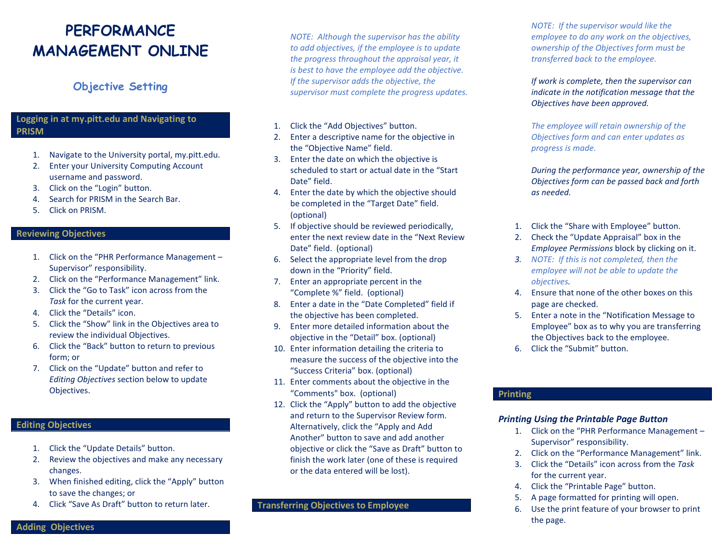## **PERFORMANCE MANAGEMENT ONLINE**

### **Objective Setting**

#### **Logging in at my.pitt.edu and Navigating to PRISM**

- 1. Navigate to the University portal, my.pitt.edu.
- 2. Enter your University Computing Account username and password.
- 3. Click on the "Login" button.
- 4. Search for PRISM in the Search Bar.
- 5. Click on PRISM.

#### **Reviewing Objectives**

- 1. Click on the "PHR Performance Management Supervisor" responsibility.
- 2. Click on the "Performance Management" link.
- 3. Click the "Go to Task" icon across from the *Task* for the current year.
- 4. Click the "Details" icon.
- 5. Click the "Show" link in the Objectives area to review the individual Objectives.
- 6. Click the "Back" button to return to previous form; or
- 7. Click on the "Update" button and refer to *Editing Objectives* section below to update Objectives.

#### **Editing Objectives**

- 1. Click the "Update Details" button.
- 2. Review the objectives and make any necessary changes.
- 3. When finished editing, click the "Apply" button to save the changes; or
- 4. Click "Save As Draft" button to return later.

*NOTE: Although the supervisor has the ability to add objectives, if the employee is to update the progress throughout the appraisal year, it is best to have the employee add the objective. If the supervisor adds the objective, the supervisor must complete the progress updates.* 

- 1. Click the "Add Objectives" button.
- 2. Enter a descriptive name for the objective in the "Objective Name" field.
- 3. Enter the date on which the objective is scheduled to start or actual date in the "Start Date" field.
- 4. Enter the date by which the objective should be completed in the "Target Date" field. (optional)
- 5. If objective should be reviewed periodically, enter the next review date in the "Next Review Date" field. (optional)
- 6. Select the appropriate level from the drop down in the "Priority" field.
- 7. Enter an appropriate percent in the "Complete %" field. (optional)
- 8. Enter a date in the "Date Completed" field if the objective has been completed.
- 9. Enter more detailed information about the objective in the "Detail" box. (optional)
- 10. Enter information detailing the criteria to measure the success of the objective into the "Success Criteria" box. (optional)
- 11. Enter comments about the objective in the "Comments" box. (optional)
- 12. Click the "Apply" button to add the objective and return to the Supervisor Review form. Alternatively, click the "Apply and Add Another" button to save and add another objective or click the "Save as Draft" button to finish the work later (one of these is required or the data entered will be lost).

#### **Transferring Objectives to Employee**

*NOTE: If the supervisor would like the employee to do any work on the objectives, ownership of the Objectives form must be transferred back to the employee.* 

*If work is complete, then the supervisor can indicate in the notification message that the Objectives have been approved.* 

*The employee will retain ownership of the Objectives form and can enter updates as progress is made.* 

*During the performance year, ownership of the Objectives form can be passed back and forth as needed.*

- 1. Click the "Share with Employee" button.
- 2. Check the "Update Appraisal" box in the *Employee Permissions* block by clicking on it.
- *3. NOTE: If this is not completed, then the employee will not be able to update the objectives.*
- 4. Ensure that none of the other boxes on this page are checked.
- 5. Enter a note in the "Notification Message to Employee" box as to why you are transferring the Objectives back to the employee.
- 6. Click the "Submit" button.

#### **Printing**

#### *Printing Using the Printable Page Button*

- 1. Click on the "PHR Performance Management Supervisor" responsibility.
- 2. Click on the "Performance Management" link.
- 3. Click the "Details" icon across from the *Task* for the current year.
- 4. Click the "Printable Page" button.
- 5. A page formatted for printing will open.
- 6. Use the print feature of your browser to print the page.